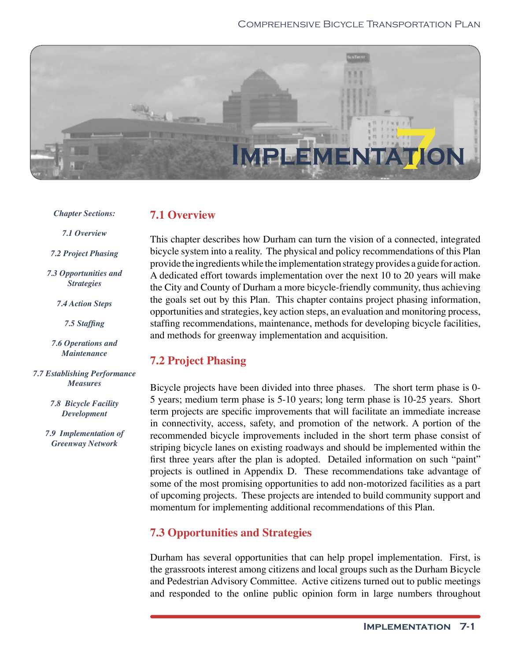# Comprehensive Bicycle Transportation Plan



#### *Chapter Sections:*

# **7.1 Overview**

*7.1 Overview*

*7.2 Project Phasing*

*7.3 Opportunities and Strategies*

*7.4 Action Steps*

7.5 Staffing

*7.6 Operations and Maintenance*

*7.7 Establishing Performance Measures* 

> *7.8 Bicycle Facility Development*

*7.9 Implementation of Greenway Network* 

This chapter describes how Durham can turn the vision of a connected, integrated bicycle system into a reality. The physical and policy recommendations of this Plan provide the ingredients while the implementation strategy provides a guide for action. A dedicated effort towards implementation over the next 10 to 20 years will make the City and County of Durham a more bicycle-friendly community, thus achieving the goals set out by this Plan. This chapter contains project phasing information, opportunities and strategies, key action steps, an evaluation and monitoring process, staffing recommendations, maintenance, methods for developing bicycle facilities, and methods for greenway implementation and acquisition.

# **7.2 Project Phasing**

Bicycle projects have been divided into three phases. The short term phase is 0- 5 years; medium term phase is 5-10 years; long term phase is 10-25 years. Short term projects are specific improvements that will facilitate an immediate increase in connectivity, access, safety, and promotion of the network. A portion of the recommended bicycle improvements included in the short term phase consist of striping bicycle lanes on existing roadways and should be implemented within the first three years after the plan is adopted. Detailed information on such "paint" projects is outlined in Appendix D. These recommendations take advantage of some of the most promising opportunities to add non-motorized facilities as a part of upcoming projects. These projects are intended to build community support and momentum for implementing additional recommendations of this Plan.

# **7.3 Opportunities and Strategies**

Durham has several opportunities that can help propel implementation. First, is the grassroots interest among citizens and local groups such as the Durham Bicycle and Pedestrian Advisory Committee. Active citizens turned out to public meetings and responded to the online public opinion form in large numbers throughout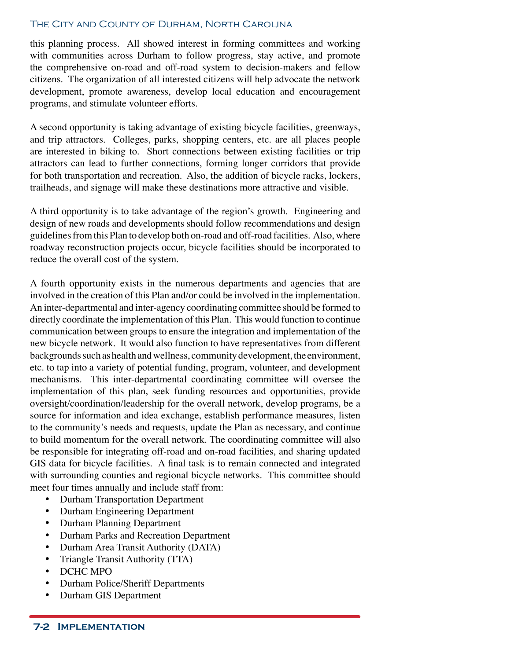### The City and County of Durham, North Carolina

this planning process. All showed interest in forming committees and working with communities across Durham to follow progress, stay active, and promote the comprehensive on-road and off-road system to decision-makers and fellow citizens. The organization of all interested citizens will help advocate the network development, promote awareness, develop local education and encouragement programs, and stimulate volunteer efforts.

A second opportunity is taking advantage of existing bicycle facilities, greenways, and trip attractors. Colleges, parks, shopping centers, etc. are all places people are interested in biking to. Short connections between existing facilities or trip attractors can lead to further connections, forming longer corridors that provide for both transportation and recreation. Also, the addition of bicycle racks, lockers, trailheads, and signage will make these destinations more attractive and visible.

A third opportunity is to take advantage of the region's growth. Engineering and design of new roads and developments should follow recommendations and design guidelines from this Plan to develop both on-road and off-road facilities. Also, where roadway reconstruction projects occur, bicycle facilities should be incorporated to reduce the overall cost of the system.

A fourth opportunity exists in the numerous departments and agencies that are involved in the creation of this Plan and/or could be involved in the implementation. An inter-departmental and inter-agency coordinating committee should be formed to directly coordinate the implementation of this Plan. This would function to continue communication between groups to ensure the integration and implementation of the new bicycle network. It would also function to have representatives from different backgrounds such as health and wellness, community development, the environment, etc. to tap into a variety of potential funding, program, volunteer, and development mechanisms. This inter-departmental coordinating committee will oversee the implementation of this plan, seek funding resources and opportunities, provide oversight/coordination/leadership for the overall network, develop programs, be a source for information and idea exchange, establish performance measures, listen to the community's needs and requests, update the Plan as necessary, and continue to build momentum for the overall network. The coordinating committee will also be responsible for integrating off-road and on-road facilities, and sharing updated GIS data for bicycle facilities. A final task is to remain connected and integrated with surrounding counties and regional bicycle networks. This committee should meet four times annually and include staff from:

- Durham Transportation Department
- Durham Engineering Department
- Durham Planning Department
- Durham Parks and Recreation Department
- Durham Area Transit Authority (DATA)
- Triangle Transit Authority (TTA)
- DCHC MPO
- Durham Police/Sheriff Departments
- Durham GIS Department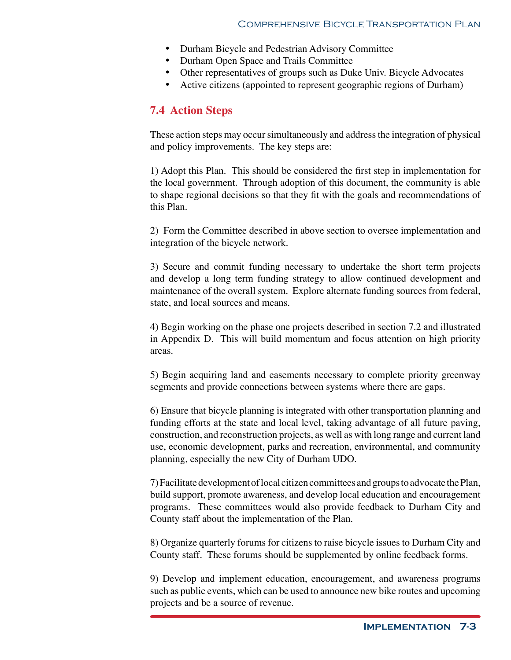- Durham Bicycle and Pedestrian Advisory Committee
- Durham Open Space and Trails Committee
- Other representatives of groups such as Duke Univ. Bicycle Advocates
- Active citizens (appointed to represent geographic regions of Durham)

# **7.4 Action Steps**

These action steps may occur simultaneously and address the integration of physical and policy improvements. The key steps are:

1) Adopt this Plan. This should be considered the first step in implementation for the local government. Through adoption of this document, the community is able to shape regional decisions so that they fit with the goals and recommendations of this Plan.

2) Form the Committee described in above section to oversee implementation and integration of the bicycle network.

3) Secure and commit funding necessary to undertake the short term projects and develop a long term funding strategy to allow continued development and maintenance of the overall system. Explore alternate funding sources from federal, state, and local sources and means.

4) Begin working on the phase one projects described in section 7.2 and illustrated in Appendix D. This will build momentum and focus attention on high priority areas.

5) Begin acquiring land and easements necessary to complete priority greenway segments and provide connections between systems where there are gaps.

6) Ensure that bicycle planning is integrated with other transportation planning and funding efforts at the state and local level, taking advantage of all future paving, construction, and reconstruction projects, as well as with long range and current land use, economic development, parks and recreation, environmental, and community planning, especially the new City of Durham UDO.

7) Facilitate development of local citizen committees and groups to advocate the Plan, build support, promote awareness, and develop local education and encouragement programs. These committees would also provide feedback to Durham City and County staff about the implementation of the Plan.

8) Organize quarterly forums for citizens to raise bicycle issues to Durham City and County staff. These forums should be supplemented by online feedback forms.

9) Develop and implement education, encouragement, and awareness programs such as public events, which can be used to announce new bike routes and upcoming projects and be a source of revenue.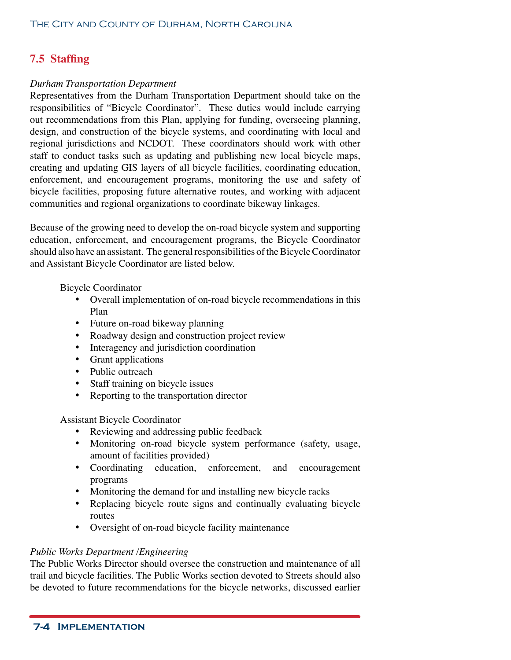# **7.5 Staffing**

### *Durham Transportation Department*

Representatives from the Durham Transportation Department should take on the responsibilities of "Bicycle Coordinator". These duties would include carrying out recommendations from this Plan, applying for funding, overseeing planning, design, and construction of the bicycle systems, and coordinating with local and regional jurisdictions and NCDOT. These coordinators should work with other staff to conduct tasks such as updating and publishing new local bicycle maps, creating and updating GIS layers of all bicycle facilities, coordinating education, enforcement, and encouragement programs, monitoring the use and safety of bicycle facilities, proposing future alternative routes, and working with adjacent communities and regional organizations to coordinate bikeway linkages.

Because of the growing need to develop the on-road bicycle system and supporting education, enforcement, and encouragement programs, the Bicycle Coordinator should also have an assistant. The general responsibilities of the Bicycle Coordinator and Assistant Bicycle Coordinator are listed below.

Bicycle Coordinator

- Overall implementation of on-road bicycle recommendations in this Plan
- Future on-road bikeway planning
- Roadway design and construction project review
- Interagency and jurisdiction coordination
- Grant applications
- Public outreach
- Staff training on bicycle issues
- Reporting to the transportation director

Assistant Bicycle Coordinator

- Reviewing and addressing public feedback
- Monitoring on-road bicycle system performance (safety, usage, amount of facilities provided)
- Coordinating education, enforcement, and encouragement programs
- Monitoring the demand for and installing new bicycle racks
- Replacing bicycle route signs and continually evaluating bicycle routes
- Oversight of on-road bicycle facility maintenance

# *Public Works Department /Engineering*

The Public Works Director should oversee the construction and maintenance of all trail and bicycle facilities. The Public Works section devoted to Streets should also be devoted to future recommendations for the bicycle networks, discussed earlier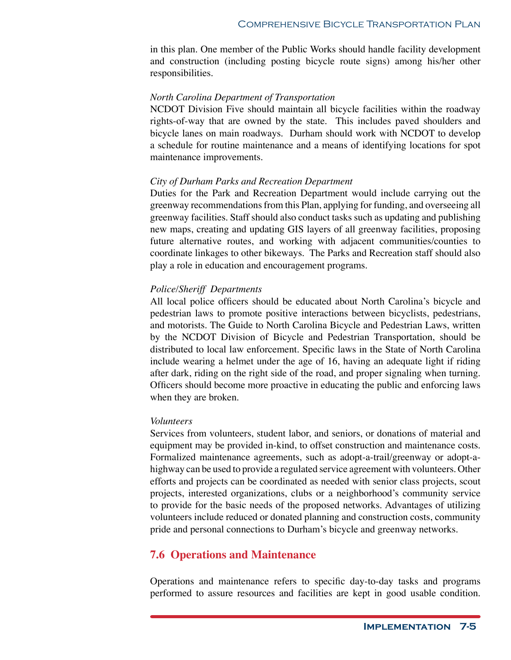in this plan. One member of the Public Works should handle facility development and construction (including posting bicycle route signs) among his/her other responsibilities.

#### *North Carolina Department of Transportation*

NCDOT Division Five should maintain all bicycle facilities within the roadway rights-of-way that are owned by the state. This includes paved shoulders and bicycle lanes on main roadways. Durham should work with NCDOT to develop a schedule for routine maintenance and a means of identifying locations for spot maintenance improvements.

#### *City of Durham Parks and Recreation Department*

Duties for the Park and Recreation Department would include carrying out the greenway recommendations from this Plan, applying for funding, and overseeing all greenway facilities. Staff should also conduct tasks such as updating and publishing new maps, creating and updating GIS layers of all greenway facilities, proposing future alternative routes, and working with adjacent communities/counties to coordinate linkages to other bikeways. The Parks and Recreation staff should also play a role in education and encouragement programs.

#### *Police/Sheriff Departments*

All local police officers should be educated about North Carolina's bicycle and pedestrian laws to promote positive interactions between bicyclists, pedestrians, and motorists. The Guide to North Carolina Bicycle and Pedestrian Laws, written by the NCDOT Division of Bicycle and Pedestrian Transportation, should be distributed to local law enforcement. Specific laws in the State of North Carolina include wearing a helmet under the age of 16, having an adequate light if riding after dark, riding on the right side of the road, and proper signaling when turning. Officers should become more proactive in educating the public and enforcing laws when they are broken.

#### *Volunteers*

Services from volunteers, student labor, and seniors, or donations of material and equipment may be provided in-kind, to offset construction and maintenance costs. Formalized maintenance agreements, such as adopt-a-trail/greenway or adopt-ahighway can be used to provide a regulated service agreement with volunteers. Other efforts and projects can be coordinated as needed with senior class projects, scout projects, interested organizations, clubs or a neighborhood's community service to provide for the basic needs of the proposed networks. Advantages of utilizing volunteers include reduced or donated planning and construction costs, community pride and personal connections to Durham's bicycle and greenway networks.

# **7.6 Operations and Maintenance**

Operations and maintenance refers to specific day-to-day tasks and programs performed to assure resources and facilities are kept in good usable condition.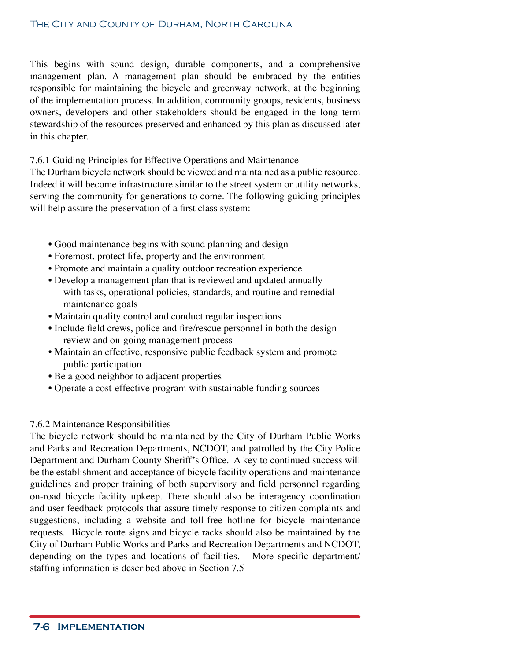This begins with sound design, durable components, and a comprehensive management plan. A management plan should be embraced by the entities responsible for maintaining the bicycle and greenway network, at the beginning of the implementation process. In addition, community groups, residents, business owners, developers and other stakeholders should be engaged in the long term stewardship of the resources preserved and enhanced by this plan as discussed later in this chapter.

7.6.1 Guiding Principles for Effective Operations and Maintenance

The Durham bicycle network should be viewed and maintained as a public resource. Indeed it will become infrastructure similar to the street system or utility networks, serving the community for generations to come. The following guiding principles will help assure the preservation of a first class system:

- Good maintenance begins with sound planning and design
- Foremost, protect life, property and the environment
- Promote and maintain a quality outdoor recreation experience
- Develop a management plan that is reviewed and updated annually with tasks, operational policies, standards, and routine and remedial maintenance goals
- Maintain quality control and conduct regular inspections
- Include field crews, police and fire/rescue personnel in both the design review and on-going management process
- Maintain an effective, responsive public feedback system and promote public participation
- Be a good neighbor to adjacent properties
- Operate a cost-effective program with sustainable funding sources

#### 7.6.2 Maintenance Responsibilities

The bicycle network should be maintained by the City of Durham Public Works and Parks and Recreation Departments, NCDOT, and patrolled by the City Police Department and Durham County Sheriff's Office. A key to continued success will be the establishment and acceptance of bicycle facility operations and maintenance guidelines and proper training of both supervisory and field personnel regarding on-road bicycle facility upkeep. There should also be interagency coordination and user feedback protocols that assure timely response to citizen complaints and suggestions, including a website and toll-free hotline for bicycle maintenance requests. Bicycle route signs and bicycle racks should also be maintained by the City of Durham Public Works and Parks and Recreation Departments and NCDOT, depending on the types and locations of facilities. More specific department/ staffing information is described above in Section 7.5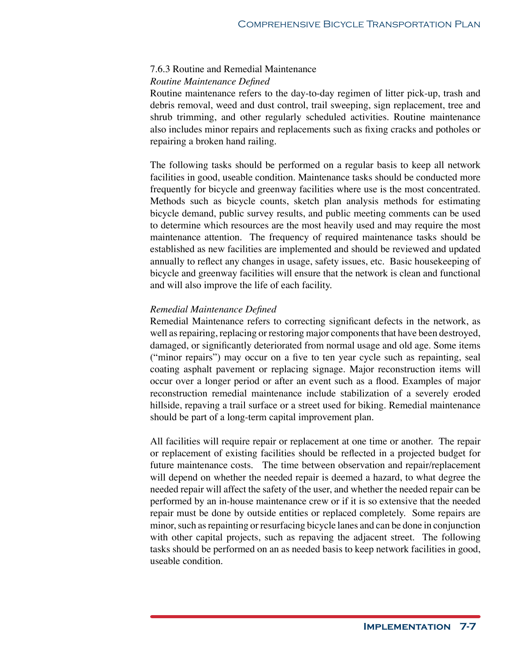#### 7.6.3 Routine and Remedial Maintenance

*Routine Maintenance Defined* 

Routine maintenance refers to the day-to-day regimen of litter pick-up, trash and debris removal, weed and dust control, trail sweeping, sign replacement, tree and shrub trimming, and other regularly scheduled activities. Routine maintenance also includes minor repairs and replacements such as fixing cracks and potholes or repairing a broken hand railing.

The following tasks should be performed on a regular basis to keep all network facilities in good, useable condition. Maintenance tasks should be conducted more frequently for bicycle and greenway facilities where use is the most concentrated. Methods such as bicycle counts, sketch plan analysis methods for estimating bicycle demand, public survey results, and public meeting comments can be used to determine which resources are the most heavily used and may require the most maintenance attention. The frequency of required maintenance tasks should be established as new facilities are implemented and should be reviewed and updated annually to reflect any changes in usage, safety issues, etc. Basic housekeeping of bicycle and greenway facilities will ensure that the network is clean and functional and will also improve the life of each facility.

#### *Remedial Maintenance Defined*

Remedial Maintenance refers to correcting significant defects in the network, as well as repairing, replacing or restoring major components that have been destroyed, damaged, or significantly deteriorated from normal usage and old age. Some items ("minor repairs") may occur on a five to ten year cycle such as repainting, seal coating asphalt pavement or replacing signage. Major reconstruction items will occur over a longer period or after an event such as a flood. Examples of major reconstruction remedial maintenance include stabilization of a severely eroded hillside, repaving a trail surface or a street used for biking. Remedial maintenance should be part of a long-term capital improvement plan.

All facilities will require repair or replacement at one time or another. The repair or replacement of existing facilities should be reflected in a projected budget for future maintenance costs. The time between observation and repair/replacement will depend on whether the needed repair is deemed a hazard, to what degree the needed repair will affect the safety of the user, and whether the needed repair can be performed by an in-house maintenance crew or if it is so extensive that the needed repair must be done by outside entities or replaced completely. Some repairs are minor, such as repainting or resurfacing bicycle lanes and can be done in conjunction with other capital projects, such as repaving the adjacent street. The following tasks should be performed on an as needed basis to keep network facilities in good, useable condition.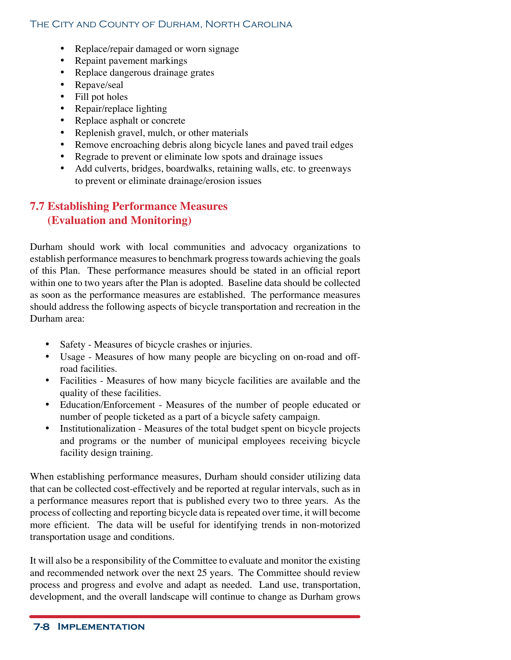- Replace/repair damaged or worn signage
- Repaint pavement markings
- Replace dangerous drainage grates
- Repave/seal
- Fill pot holes
- Repair/replace lighting
- Replace asphalt or concrete
- Replenish gravel, mulch, or other materials
- Remove encroaching debris along bicycle lanes and paved trail edges
- Regrade to prevent or eliminate low spots and drainage issues
- Add culverts, bridges, boardwalks, retaining walls, etc. to greenways to prevent or eliminate drainage/erosion issues

# **7.7 Establishing Performance Measures (Evaluation and Monitoring)**

Durham should work with local communities and advocacy organizations to establish performance measures to benchmark progress towards achieving the goals of this Plan. These performance measures should be stated in an official report within one to two years after the Plan is adopted. Baseline data should be collected as soon as the performance measures are established. The performance measures should address the following aspects of bicycle transportation and recreation in the Durham area:

- Safety Measures of bicycle crashes or injuries.
- Usage Measures of how many people are bicycling on on-road and offroad facilities.
- Facilities Measures of how many bicycle facilities are available and the quality of these facilities.
- Education/Enforcement Measures of the number of people educated or number of people ticketed as a part of a bicycle safety campaign.
- Institutionalization Measures of the total budget spent on bicycle projects and programs or the number of municipal employees receiving bicycle facility design training.

When establishing performance measures, Durham should consider utilizing data that can be collected cost-effectively and be reported at regular intervals, such as in a performance measures report that is published every two to three years. As the process of collecting and reporting bicycle data is repeated over time, it will become more efficient. The data will be useful for identifying trends in non-motorized transportation usage and conditions.

It will also be a responsibility of the Committee to evaluate and monitor the existing and recommended network over the next 25 years. The Committee should review process and progress and evolve and adapt as needed. Land use, transportation, development, and the overall landscape will continue to change as Durham grows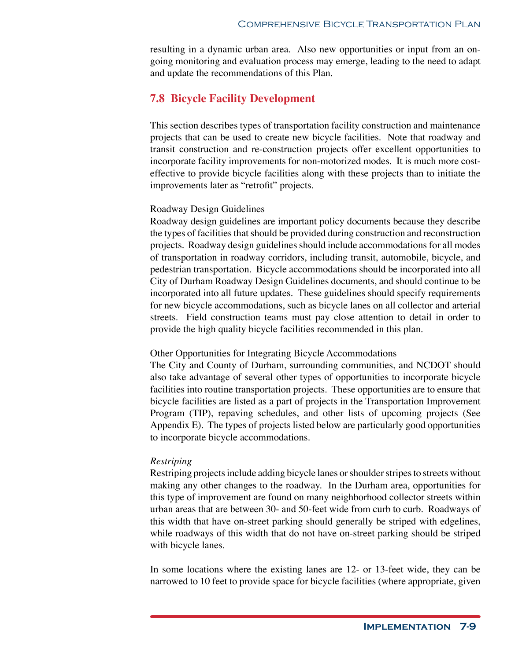resulting in a dynamic urban area. Also new opportunities or input from an ongoing monitoring and evaluation process may emerge, leading to the need to adapt and update the recommendations of this Plan.

# **7.8 Bicycle Facility Development**

This section describes types of transportation facility construction and maintenance projects that can be used to create new bicycle facilities. Note that roadway and transit construction and re-construction projects offer excellent opportunities to incorporate facility improvements for non-motorized modes. It is much more costeffective to provide bicycle facilities along with these projects than to initiate the improvements later as "retrofit" projects.

#### Roadway Design Guidelines

Roadway design guidelines are important policy documents because they describe the types of facilities that should be provided during construction and reconstruction projects. Roadway design guidelines should include accommodations for all modes of transportation in roadway corridors, including transit, automobile, bicycle, and pedestrian transportation. Bicycle accommodations should be incorporated into all City of Durham Roadway Design Guidelines documents, and should continue to be incorporated into all future updates. These guidelines should specify requirements for new bicycle accommodations, such as bicycle lanes on all collector and arterial streets. Field construction teams must pay close attention to detail in order to provide the high quality bicycle facilities recommended in this plan.

#### Other Opportunities for Integrating Bicycle Accommodations

The City and County of Durham, surrounding communities, and NCDOT should also take advantage of several other types of opportunities to incorporate bicycle facilities into routine transportation projects. These opportunities are to ensure that bicycle facilities are listed as a part of projects in the Transportation Improvement Program (TIP), repaving schedules, and other lists of upcoming projects (See Appendix E). The types of projects listed below are particularly good opportunities to incorporate bicycle accommodations.

# *Restriping*

Restriping projects include adding bicycle lanes or shoulder stripes to streets without making any other changes to the roadway. In the Durham area, opportunities for this type of improvement are found on many neighborhood collector streets within urban areas that are between 30- and 50-feet wide from curb to curb. Roadways of this width that have on-street parking should generally be striped with edgelines, while roadways of this width that do not have on-street parking should be striped with bicycle lanes.

In some locations where the existing lanes are 12- or 13-feet wide, they can be narrowed to 10 feet to provide space for bicycle facilities (where appropriate, given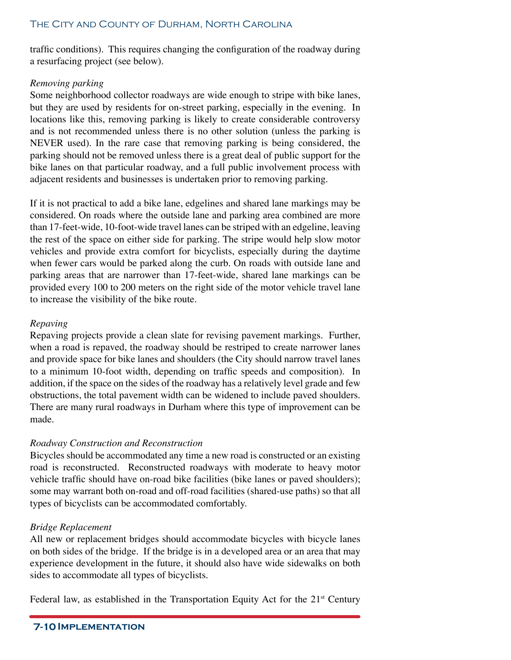traffic conditions). This requires changing the configuration of the roadway during a resurfacing project (see below).

# *Removing parking*

Some neighborhood collector roadways are wide enough to stripe with bike lanes, but they are used by residents for on-street parking, especially in the evening. In locations like this, removing parking is likely to create considerable controversy and is not recommended unless there is no other solution (unless the parking is NEVER used). In the rare case that removing parking is being considered, the parking should not be removed unless there is a great deal of public support for the bike lanes on that particular roadway, and a full public involvement process with adjacent residents and businesses is undertaken prior to removing parking.

If it is not practical to add a bike lane, edgelines and shared lane markings may be considered. On roads where the outside lane and parking area combined are more than 17-feet-wide, 10-foot-wide travel lanes can be striped with an edgeline, leaving the rest of the space on either side for parking. The stripe would help slow motor vehicles and provide extra comfort for bicyclists, especially during the daytime when fewer cars would be parked along the curb. On roads with outside lane and parking areas that are narrower than 17-feet-wide, shared lane markings can be provided every 100 to 200 meters on the right side of the motor vehicle travel lane to increase the visibility of the bike route.

# *Repaving*

Repaving projects provide a clean slate for revising pavement markings. Further, when a road is repaved, the roadway should be restriped to create narrower lanes and provide space for bike lanes and shoulders (the City should narrow travel lanes to a minimum 10-foot width, depending on traffic speeds and composition). In addition, if the space on the sides of the roadway has a relatively level grade and few obstructions, the total pavement width can be widened to include paved shoulders. There are many rural roadways in Durham where this type of improvement can be made.

# *Roadway Construction and Reconstruction*

Bicycles should be accommodated any time a new road is constructed or an existing road is reconstructed. Reconstructed roadways with moderate to heavy motor vehicle traffic should have on-road bike facilities (bike lanes or paved shoulders); some may warrant both on-road and off-road facilities (shared-use paths) so that all types of bicyclists can be accommodated comfortably.

# *Bridge Replacement*

All new or replacement bridges should accommodate bicycles with bicycle lanes on both sides of the bridge. If the bridge is in a developed area or an area that may experience development in the future, it should also have wide sidewalks on both sides to accommodate all types of bicyclists.

Federal law, as established in the Transportation Equity Act for the  $21<sup>st</sup>$  Century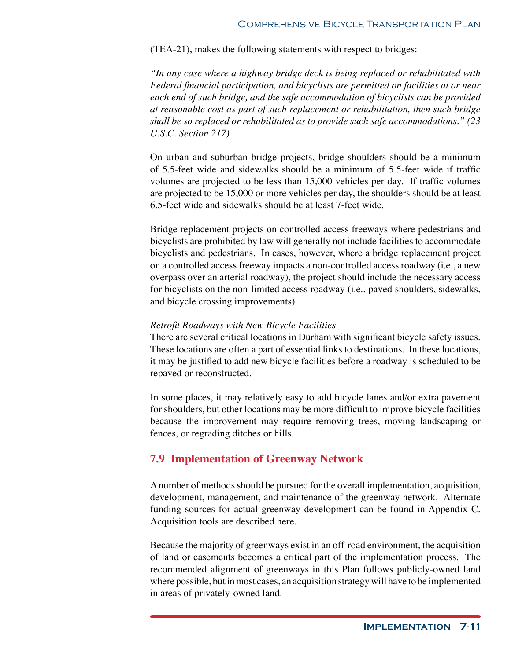(TEA-21), makes the following statements with respect to bridges:

*"In any case where a highway bridge deck is being replaced or rehabilitated with Federal financial participation, and bicyclists are permitted on facilities at or near each end of such bridge, and the safe accommodation of bicyclists can be provided at reasonable cost as part of such replacement or rehabilitation, then such bridge shall be so replaced or rehabilitated as to provide such safe accommodations." (23 U.S.C. Section 217)*

On urban and suburban bridge projects, bridge shoulders should be a minimum of 5.5-feet wide and sidewalks should be a minimum of 5.5-feet wide if traffic volumes are projected to be less than 15,000 vehicles per day. If traffic volumes are projected to be 15,000 or more vehicles per day, the shoulders should be at least 6.5-feet wide and sidewalks should be at least 7-feet wide.

Bridge replacement projects on controlled access freeways where pedestrians and bicyclists are prohibited by law will generally not include facilities to accommodate bicyclists and pedestrians. In cases, however, where a bridge replacement project on a controlled access freeway impacts a non-controlled access roadway (i.e., a new overpass over an arterial roadway), the project should include the necessary access for bicyclists on the non-limited access roadway (i.e., paved shoulders, sidewalks, and bicycle crossing improvements).

### *Retrofit Roadways with New Bicycle Facilities*

There are several critical locations in Durham with significant bicycle safety issues. These locations are often a part of essential links to destinations. In these locations, it may be justified to add new bicycle facilities before a roadway is scheduled to be repaved or reconstructed.

In some places, it may relatively easy to add bicycle lanes and/or extra pavement for shoulders, but other locations may be more difficult to improve bicycle facilities because the improvement may require removing trees, moving landscaping or fences, or regrading ditches or hills.

# **7.9 Implementation of Greenway Network**

A number of methods should be pursued for the overall implementation, acquisition, development, management, and maintenance of the greenway network. Alternate funding sources for actual greenway development can be found in Appendix C. Acquisition tools are described here.

Because the majority of greenways exist in an off-road environment, the acquisition of land or easements becomes a critical part of the implementation process. The recommended alignment of greenways in this Plan follows publicly-owned land where possible, but in most cases, an acquisition strategy will have to be implemented in areas of privately-owned land.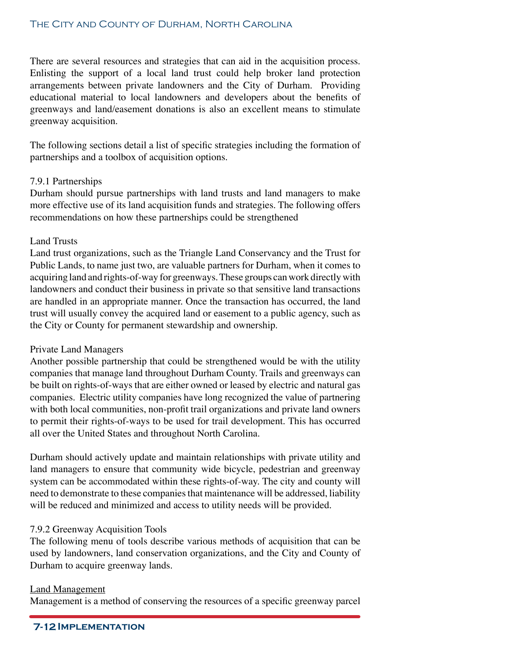There are several resources and strategies that can aid in the acquisition process. Enlisting the support of a local land trust could help broker land protection arrangements between private landowners and the City of Durham. Providing educational material to local landowners and developers about the benefits of greenways and land/easement donations is also an excellent means to stimulate greenway acquisition.

The following sections detail a list of specific strategies including the formation of partnerships and a toolbox of acquisition options.

# 7.9.1 Partnerships

Durham should pursue partnerships with land trusts and land managers to make more effective use of its land acquisition funds and strategies. The following offers recommendations on how these partnerships could be strengthened

# Land Trusts

Land trust organizations, such as the Triangle Land Conservancy and the Trust for Public Lands, to name just two, are valuable partners for Durham, when it comes to acquiring land and rights-of-way for greenways. These groups can work directly with landowners and conduct their business in private so that sensitive land transactions are handled in an appropriate manner. Once the transaction has occurred, the land trust will usually convey the acquired land or easement to a public agency, such as the City or County for permanent stewardship and ownership.

# Private Land Managers

Another possible partnership that could be strengthened would be with the utility companies that manage land throughout Durham County. Trails and greenways can be built on rights-of-ways that are either owned or leased by electric and natural gas companies. Electric utility companies have long recognized the value of partnering with both local communities, non-profit trail organizations and private land owners to permit their rights-of-ways to be used for trail development. This has occurred all over the United States and throughout North Carolina.

Durham should actively update and maintain relationships with private utility and land managers to ensure that community wide bicycle, pedestrian and greenway system can be accommodated within these rights-of-way. The city and county will need to demonstrate to these companies that maintenance will be addressed, liability will be reduced and minimized and access to utility needs will be provided.

# 7.9.2 Greenway Acquisition Tools

The following menu of tools describe various methods of acquisition that can be used by landowners, land conservation organizations, and the City and County of Durham to acquire greenway lands.

# Land Management

Management is a method of conserving the resources of a specific greenway parcel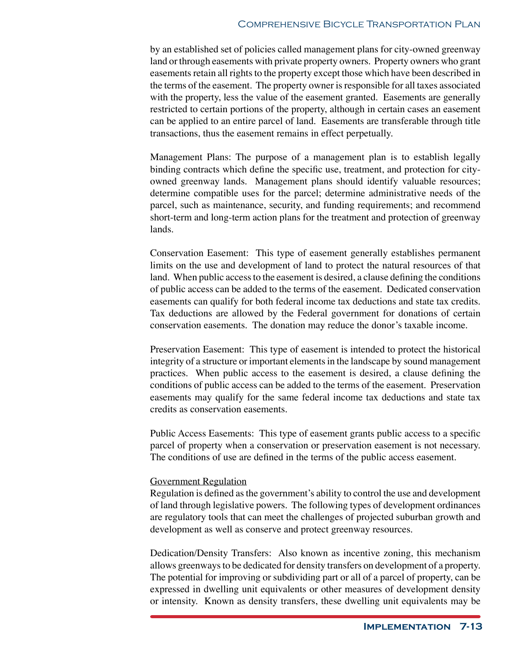by an established set of policies called management plans for city-owned greenway land or through easements with private property owners. Property owners who grant easements retain all rights to the property except those which have been described in the terms of the easement. The property owner is responsible for all taxes associated with the property, less the value of the easement granted. Easements are generally restricted to certain portions of the property, although in certain cases an easement can be applied to an entire parcel of land. Easements are transferable through title transactions, thus the easement remains in effect perpetually.

Management Plans: The purpose of a management plan is to establish legally binding contracts which define the specific use, treatment, and protection for cityowned greenway lands. Management plans should identify valuable resources; determine compatible uses for the parcel; determine administrative needs of the parcel, such as maintenance, security, and funding requirements; and recommend short-term and long-term action plans for the treatment and protection of greenway lands.

Conservation Easement: This type of easement generally establishes permanent limits on the use and development of land to protect the natural resources of that land. When public access to the easement is desired, a clause defining the conditions of public access can be added to the terms of the easement. Dedicated conservation easements can qualify for both federal income tax deductions and state tax credits. Tax deductions are allowed by the Federal government for donations of certain conservation easements. The donation may reduce the donor's taxable income.

Preservation Easement: This type of easement is intended to protect the historical integrity of a structure or important elements in the landscape by sound management practices. When public access to the easement is desired, a clause defining the conditions of public access can be added to the terms of the easement. Preservation easements may qualify for the same federal income tax deductions and state tax credits as conservation easements.

Public Access Easements: This type of easement grants public access to a specific parcel of property when a conservation or preservation easement is not necessary. The conditions of use are defined in the terms of the public access easement.

# Government Regulation

Regulation is defined as the government's ability to control the use and development of land through legislative powers. The following types of development ordinances are regulatory tools that can meet the challenges of projected suburban growth and development as well as conserve and protect greenway resources.

Dedication/Density Transfers: Also known as incentive zoning, this mechanism allows greenways to be dedicated for density transfers on development of a property. The potential for improving or subdividing part or all of a parcel of property, can be expressed in dwelling unit equivalents or other measures of development density or intensity. Known as density transfers, these dwelling unit equivalents may be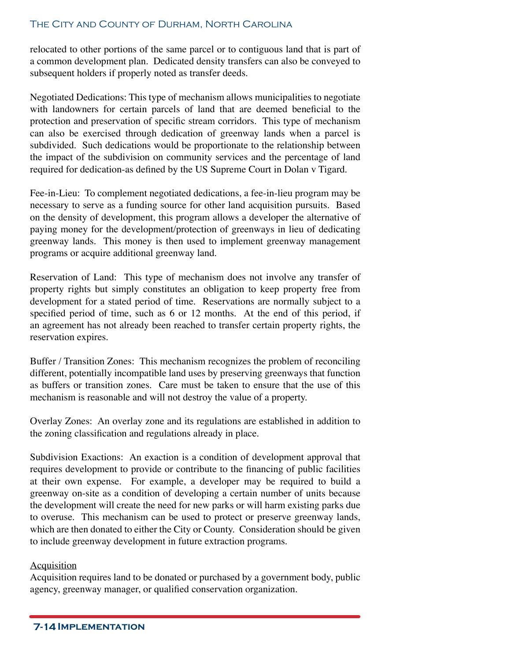# The City and County of Durham, North Carolina

relocated to other portions of the same parcel or to contiguous land that is part of a common development plan. Dedicated density transfers can also be conveyed to subsequent holders if properly noted as transfer deeds.

Negotiated Dedications: This type of mechanism allows municipalities to negotiate with landowners for certain parcels of land that are deemed beneficial to the protection and preservation of specific stream corridors. This type of mechanism can also be exercised through dedication of greenway lands when a parcel is subdivided. Such dedications would be proportionate to the relationship between the impact of the subdivision on community services and the percentage of land required for dedication-as defined by the US Supreme Court in Dolan v Tigard.

Fee-in-Lieu: To complement negotiated dedications, a fee-in-lieu program may be necessary to serve as a funding source for other land acquisition pursuits. Based on the density of development, this program allows a developer the alternative of paying money for the development/protection of greenways in lieu of dedicating greenway lands. This money is then used to implement greenway management programs or acquire additional greenway land.

Reservation of Land: This type of mechanism does not involve any transfer of property rights but simply constitutes an obligation to keep property free from development for a stated period of time. Reservations are normally subject to a specified period of time, such as 6 or 12 months. At the end of this period, if an agreement has not already been reached to transfer certain property rights, the reservation expires.

Buffer / Transition Zones: This mechanism recognizes the problem of reconciling different, potentially incompatible land uses by preserving greenways that function as buffers or transition zones. Care must be taken to ensure that the use of this mechanism is reasonable and will not destroy the value of a property.

Overlay Zones: An overlay zone and its regulations are established in addition to the zoning classification and regulations already in place.

Subdivision Exactions: An exaction is a condition of development approval that requires development to provide or contribute to the financing of public facilities at their own expense. For example, a developer may be required to build a greenway on-site as a condition of developing a certain number of units because the development will create the need for new parks or will harm existing parks due to overuse. This mechanism can be used to protect or preserve greenway lands, which are then donated to either the City or County. Consideration should be given to include greenway development in future extraction programs.

### **Acquisition**

Acquisition requires land to be donated or purchased by a government body, public agency, greenway manager, or qualified conservation organization.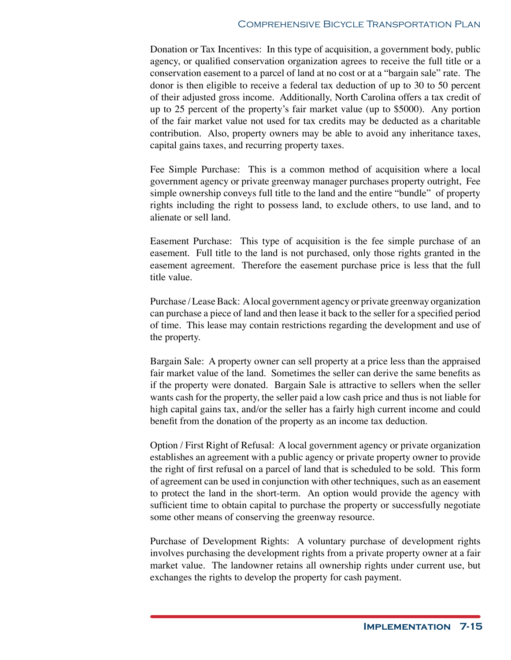Donation or Tax Incentives: In this type of acquisition, a government body, public agency, or qualified conservation organization agrees to receive the full title or a conservation easement to a parcel of land at no cost or at a "bargain sale" rate. The donor is then eligible to receive a federal tax deduction of up to 30 to 50 percent of their adjusted gross income. Additionally, North Carolina offers a tax credit of up to 25 percent of the property's fair market value (up to \$5000). Any portion of the fair market value not used for tax credits may be deducted as a charitable contribution. Also, property owners may be able to avoid any inheritance taxes, capital gains taxes, and recurring property taxes.

Fee Simple Purchase: This is a common method of acquisition where a local government agency or private greenway manager purchases property outright, Fee simple ownership conveys full title to the land and the entire "bundle" of property rights including the right to possess land, to exclude others, to use land, and to alienate or sell land.

Easement Purchase: This type of acquisition is the fee simple purchase of an easement. Full title to the land is not purchased, only those rights granted in the easement agreement. Therefore the easement purchase price is less that the full title value.

Purchase / Lease Back: A local government agency or private greenway organization can purchase a piece of land and then lease it back to the seller for a specified period of time. This lease may contain restrictions regarding the development and use of the property.

Bargain Sale: A property owner can sell property at a price less than the appraised fair market value of the land. Sometimes the seller can derive the same benefits as if the property were donated. Bargain Sale is attractive to sellers when the seller wants cash for the property, the seller paid a low cash price and thus is not liable for high capital gains tax, and/or the seller has a fairly high current income and could benefit from the donation of the property as an income tax deduction.

Option / First Right of Refusal: A local government agency or private organization establishes an agreement with a public agency or private property owner to provide the right of first refusal on a parcel of land that is scheduled to be sold. This form of agreement can be used in conjunction with other techniques, such as an easement to protect the land in the short-term. An option would provide the agency with sufficient time to obtain capital to purchase the property or successfully negotiate some other means of conserving the greenway resource.

Purchase of Development Rights: A voluntary purchase of development rights involves purchasing the development rights from a private property owner at a fair market value. The landowner retains all ownership rights under current use, but exchanges the rights to develop the property for cash payment.